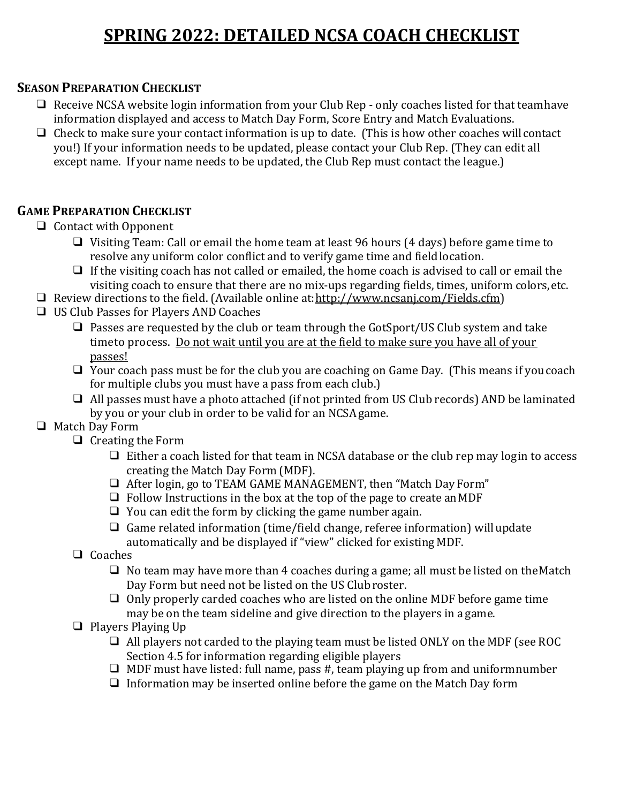# **SPRING 2022: DETAILED NCSA COACH CHECKLIST**

#### **SEASON PREPARATION CHECKLIST**

- ❑ Receive NCSA website login information from your Club Rep only coaches listed for that teamhave information displayed and access to Match Day Form, Score Entry and Match Evaluations.
- $\Box$  Check to make sure your contact information is up to date. (This is how other coaches will contact you!) If your information needs to be updated, please contact your Club Rep. (They can edit all except name. If your name needs to be updated, the Club Rep must contact the league.)

#### **GAME PREPARATION CHECKLIST**

- ❑ Contact with Opponent
	- ❑ Visiting Team: Call or email the home team at least 96 hours (4 days) before game time to resolve any uniform color conflict and to verify game time and fieldlocation.
	- ❑ If the visiting coach has not called or emailed, the home coach is advised to call or email the visiting coach to ensure that there are no mix-ups regarding fields, times, uniform colors,etc.
- ❑ Review directions to the field. (Available online at[:http://www.ncsanj.com/Fields.cfm\)](http://www.ncsanj.com/Fields.cfm)
- ❑ US Club Passes for Players ANDCoaches
	- ❑ Passes are requested by the club or team through the GotSport/US Club system and take timeto process. Do not wait until you are at the field to make sure you have all of your passes!
	- ❑ Your coach pass must be for the club you are coaching on Game Day. (This means if youcoach for multiple clubs you must have a pass from each club.)
	- ❑ All passes must have a photo attached (if not printed from US Club records) AND be laminated by you or your club in order to be valid for an NCSAgame.
- ❑ Match Day Form
	- ❑ Creating the Form
		- $\Box$  Either a coach listed for that team in NCSA database or the club rep may login to access creating the Match Day Form (MDF).
		- ❑ After login, go to TEAM GAME MANAGEMENT, then "Match Day Form"
		- $\Box$  Follow Instructions in the box at the top of the page to create an MDF
		- $\Box$  You can edit the form by clicking the game number again.
		- $\Box$  Game related information (time/field change, referee information) will update automatically and be displayed if "view" clicked for existing MDF.
	- ❑ Coaches
		- $\Box$  No team may have more than 4 coaches during a game; all must be listed on the Match Day Form but need not be listed on the US Clubroster.
		- ❑ Only properly carded coaches who are listed on the online MDF before game time may be on the team sideline and give direction to the players in a game.
	- ❑ Players Playing Up
		- ❑ All players not carded to the playing team must be listed ONLY on the MDF (see ROC Section 4.5 for information regarding eligible players
		- $\Box$  MDF must have listed: full name, pass #, team playing up from and uniformnumber
		- $\Box$  Information may be inserted online before the game on the Match Day form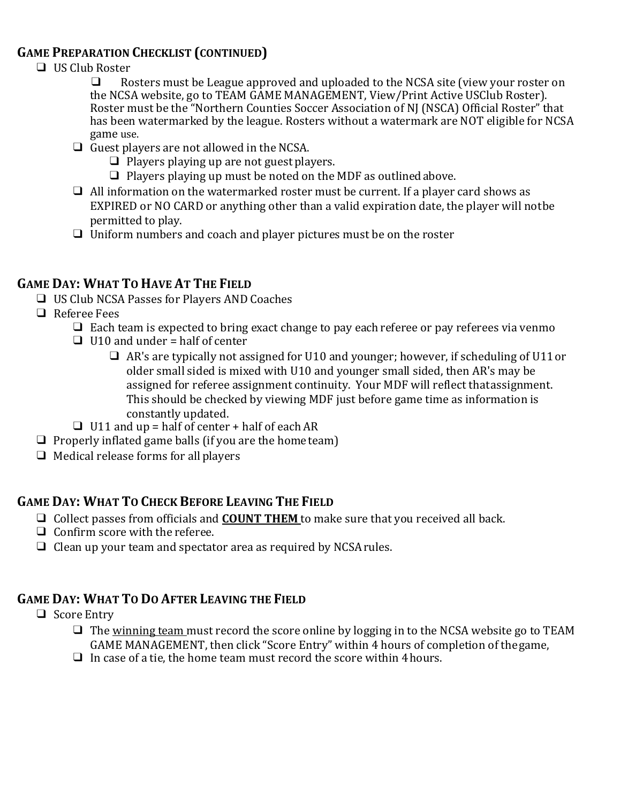#### **GAME PREPARATION CHECKLIST (CONTINUED)**

- $\Box$  US Club Roster
	- Rosters must be League approved and uploaded to the NCSA site (view your roster on the NCSA website, go to TEAM GAME MANAGEMENT, View/Print Active USClub Roster). Roster must be the "Northern Counties Soccer Association of NJ (NSCA) Official Roster" that has been watermarked by the league. Rosters without a watermark are NOT eligible for NCSA game use.
	- $\Box$  Guest players are not allowed in the NCSA.
		- ❑ Players playing up are not guest players.
		- ❑ Players playing up must be noted on the MDF as outlinedabove.
	- ❑ All information on the watermarked roster must be current. If a player card shows as EXPIRED or NO CARD or anything other than a valid expiration date, the player will notbe permitted to play.
	- ❑ Uniform numbers and coach and player pictures must be on the roster

## **GAME DAY: WHAT TO HAVE AT THE FIELD**

- ❑ US Club NCSA Passes for Players AND Coaches
- ❑ Referee Fees
	- $\Box$  Each team is expected to bring exact change to pay each referee or pay referees via venmo
	- $\Box$  U10 and under = half of center
		- ❑ AR's are typically not assigned for U10 and younger; however, if scheduling of U11or older small sided is mixed with U10 and younger small sided, then AR's may be assigned for referee assignment continuity. Your MDF will reflect thatassignment. This should be checked by viewing MDF just before game time as information is constantly updated.
	- $\Box$  U11 and up = half of center + half of each AR
- $\Box$  Properly inflated game balls (if you are the home team)
- $\Box$  Medical release forms for all players

## **GAME DAY: WHAT TO CHECK BEFORE LEAVING THE FIELD**

- ❑ Collect passes from officials and **COUNT THEM** to make sure that you received all back.
- ❑ Confirm score with the referee.
- ❑ Clean up your team and spectator area as required by NCSArules.

#### **GAME DAY: WHAT TO DO AFTER LEAVING THE FIELD**

- ❑ Score Entry
	- ❑ The winning team must record the score online by logging in to the NCSA website go to TEAM GAME MANAGEMENT, then click "Score Entry" within 4 hours of completion of thegame,
	- $\Box$  In case of a tie, the home team must record the score within 4 hours.